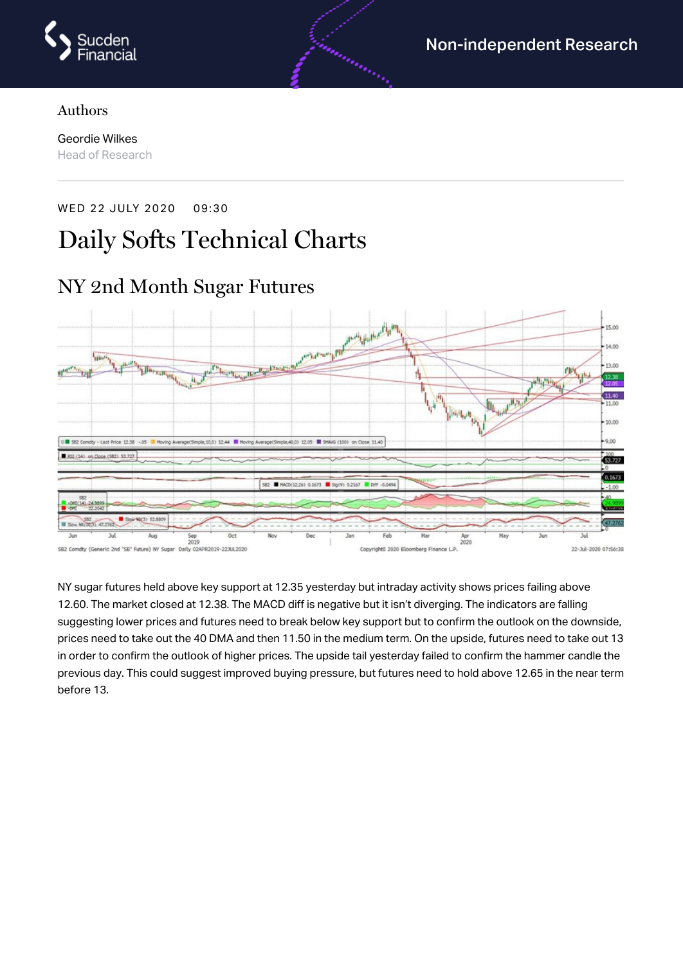

#### Authors

Geordie Wilkes Head of Research

# WED 22 JULY 2020 09:30 Daily Softs Technical Charts



NY sugar futures held above key support at 12.35 yesterday but intraday activity shows prices failing above 12.60. The market closed at 12.38. The MACD diff is negative but it isn't diverging. The indicators are falling suggesting lower prices and futures need to break below key support but to confirm the outlook on the downside, prices need to take out the 40 DMA and then 11.50 in the medium term. On the upside, futures need to take out 13 in order to confirm the outlook of higher prices. The upside tail yesterday failed to confirm the hammer candle the previous day. This could suggest improved buying pressure, but futures need to hold above 12.65 in the near term before 13.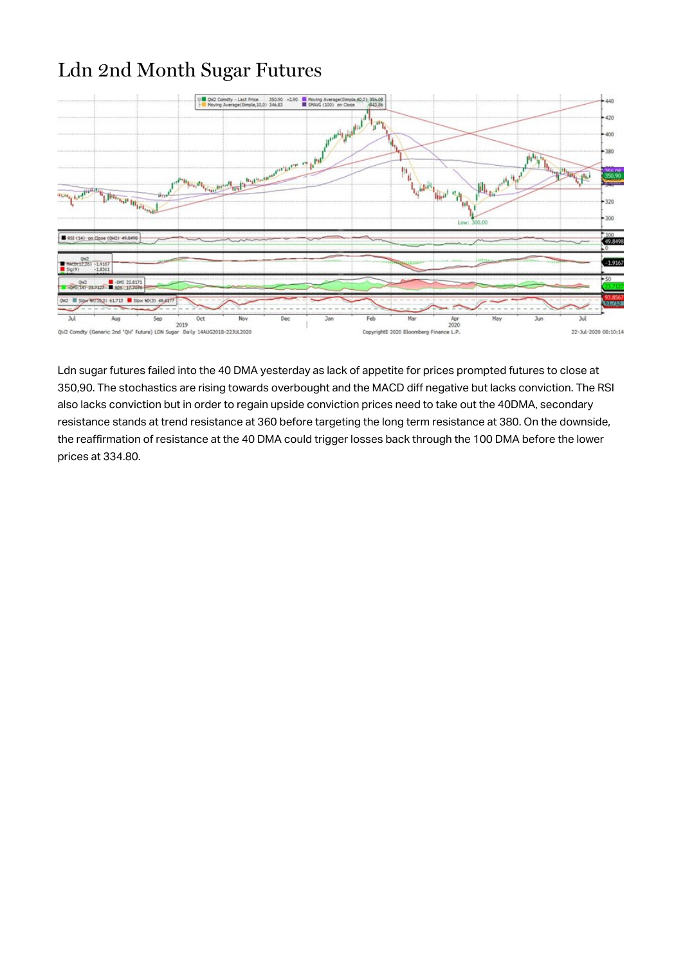## Ldn 2nd Month Sugar Futures



Ldn sugar futures failed into the 40 DMA yesterday as lack of appetite for prices prompted futures to close at 350,90. The stochastics are rising towards overbought and the MACD diff negative but lacks conviction. The RSI also lacks conviction but in order to regain upside conviction prices need to take out the 40DMA, secondary resistance stands at trend resistance at 360 before targeting the long term resistance at 380. On the downside, the reaffirmation of resistance at the 40 DMA could trigger losses back through the 100 DMA before the lower prices at 334.80.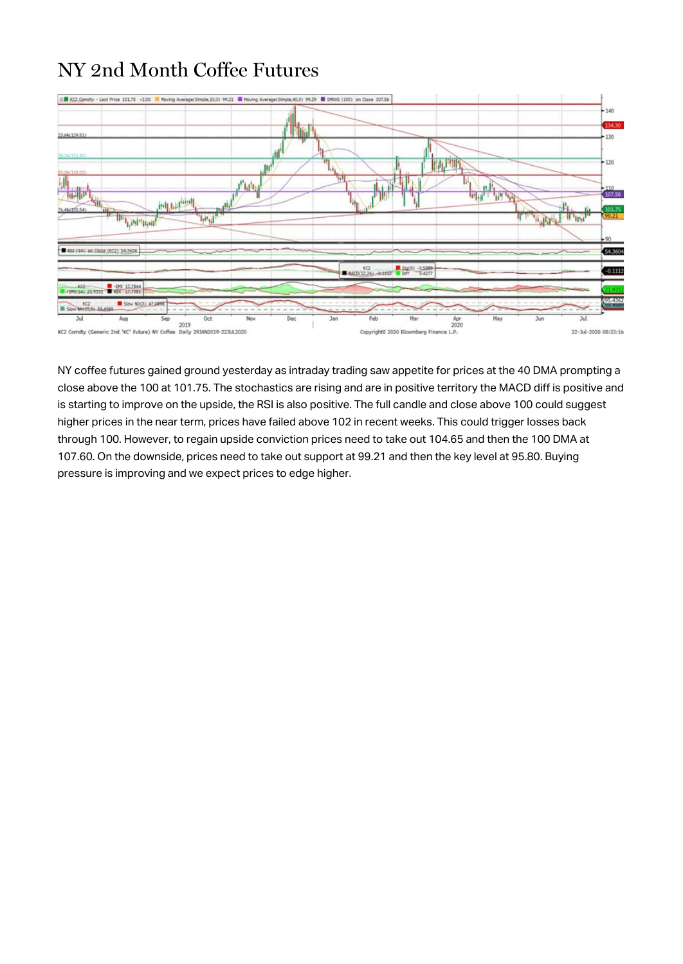## NY 2nd Month Coffee Futures



NY coffee futures gained ground yesterday as intraday trading saw appetite for prices at the 40 DMA prompting a close above the 100 at 101.75. The stochastics are rising and are in positive territory the MACD diff is positive and is starting to improve on the upside, the RSI is also positive. The full candle and close above 100 could suggest higher prices in the near term, prices have failed above 102 in recent weeks. This could trigger losses back through 100. However, to regain upside conviction prices need to take out 104.65 and then the 100 DMA at 107.60. On the downside, prices need to take out support at 99.21 and then the key level at 95.80. Buying pressure is improving and we expect prices to edge higher.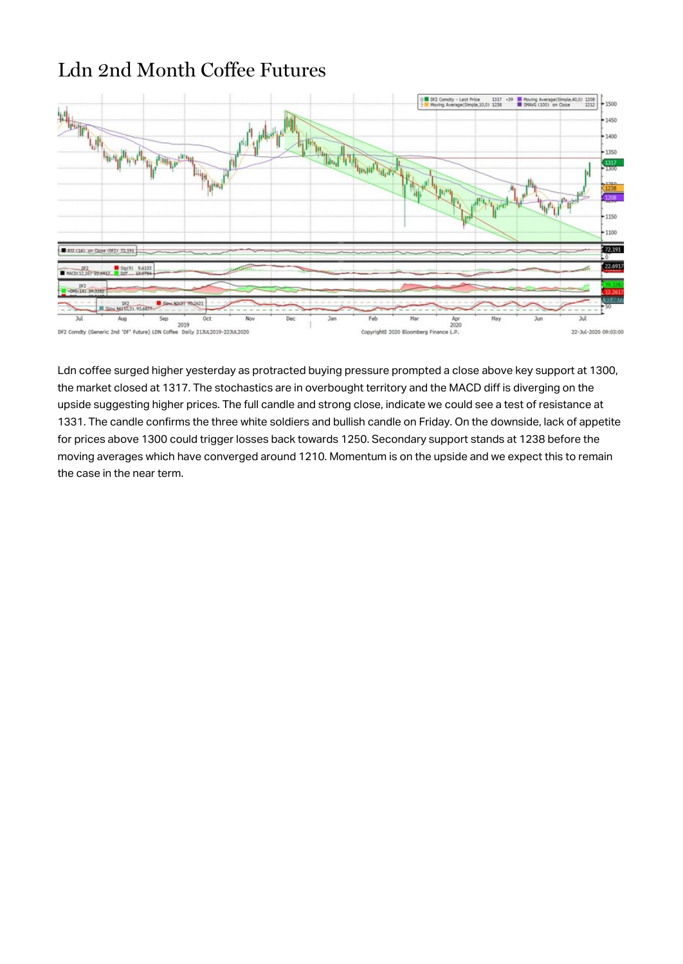## Ldn 2nd Month Coffee Futures



Ldn coffee surged higher yesterday as protracted buying pressure prompted a close above key support at 1300, the market closed at 1317. The stochastics are in overbought territory and the MACD diff is diverging on the upside suggesting higher prices. The full candle and strong close, indicate we could see a test of resistance at 1331. The candle confirms the three white soldiers and bullish candle on Friday. On the downside, lack of appetite for prices above 1300 could trigger losses back towards 1250. Secondary support stands at 1238 before the moving averages which have converged around 1210. Momentum is on the upside and we expect this to remain the case in the near term.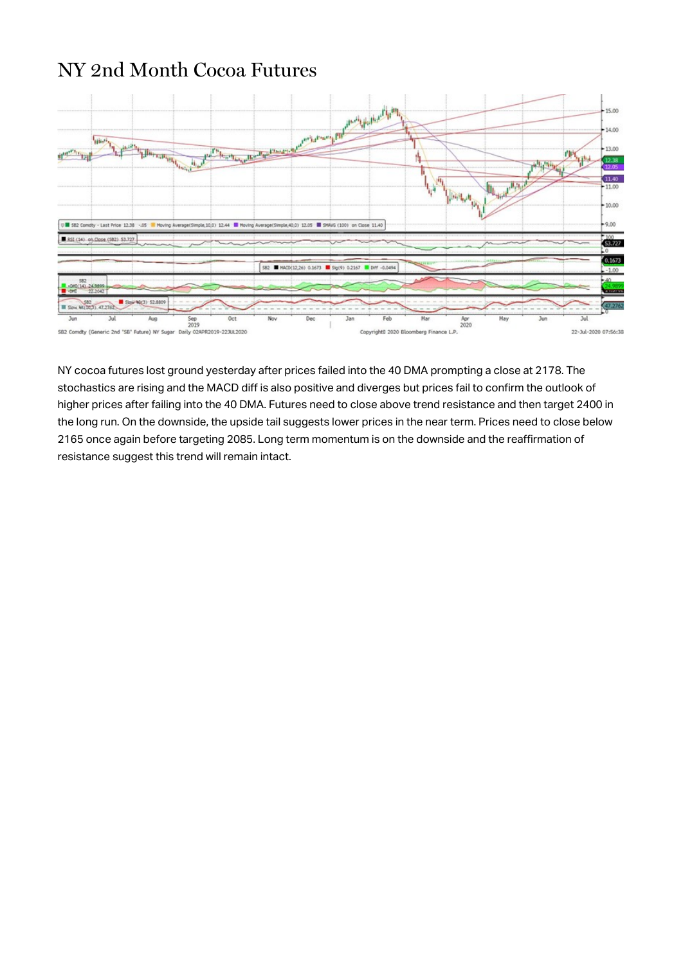#### NY 2nd Month Cocoa Futures



NY cocoa futures lost ground yesterday after prices failed into the 40 DMA prompting a close at 2178. The stochastics are rising and the MACD diff is also positive and diverges but prices fail to confirm the outlook of higher prices after failing into the 40 DMA. Futures need to close above trend resistance and then target 2400 in the long run. On the downside, the upside tail suggests lower prices in the near term. Prices need to close below 2165 once again before targeting 2085. Long term momentum is on the downside and the reaffirmation of resistance suggest this trend will remain intact.